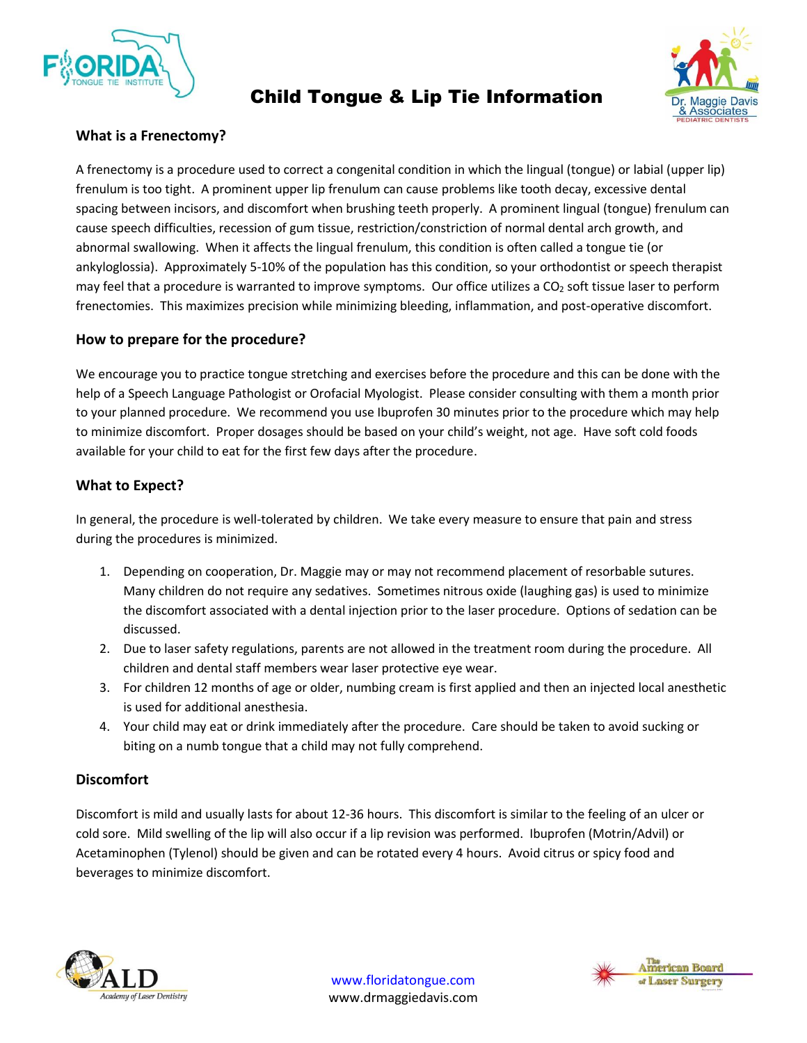

# Child Tongue & Lip Tie Information



# **What is a Frenectomy?**

A frenectomy is a procedure used to correct a congenital condition in which the lingual (tongue) or labial (upper lip) frenulum is too tight. A prominent upper lip frenulum can cause problems like tooth decay, excessive dental spacing between incisors, and discomfort when brushing teeth properly. A prominent lingual (tongue) frenulum can cause speech difficulties, recession of gum tissue, restriction/constriction of normal dental arch growth, and abnormal swallowing. When it affects the lingual frenulum, this condition is often called a tongue tie (or ankyloglossia). Approximately 5-10% of the population has this condition, so your orthodontist or speech therapist may feel that a procedure is warranted to improve symptoms. Our office utilizes a  $CO<sub>2</sub>$  soft tissue laser to perform frenectomies. This maximizes precision while minimizing bleeding, inflammation, and post-operative discomfort.

## **How to prepare for the procedure?**

We encourage you to practice tongue stretching and exercises before the procedure and this can be done with the help of a Speech Language Pathologist or Orofacial Myologist. Please consider consulting with them a month prior to your planned procedure. We recommend you use Ibuprofen 30 minutes prior to the procedure which may help to minimize discomfort. Proper dosages should be based on your child's weight, not age. Have soft cold foods available for your child to eat for the first few days after the procedure.

## **What to Expect?**

In general, the procedure is well-tolerated by children. We take every measure to ensure that pain and stress during the procedures is minimized.

- 1. Depending on cooperation, Dr. Maggie may or may not recommend placement of resorbable sutures. Many children do not require any sedatives. Sometimes nitrous oxide (laughing gas) is used to minimize the discomfort associated with a dental injection prior to the laser procedure. Options of sedation can be discussed.
- 2. Due to laser safety regulations, parents are not allowed in the treatment room during the procedure. All children and dental staff members wear laser protective eye wear.
- 3. For children 12 months of age or older, numbing cream is first applied and then an injected local anesthetic is used for additional anesthesia.
- 4. Your child may eat or drink immediately after the procedure. Care should be taken to avoid sucking or biting on a numb tongue that a child may not fully comprehend.

#### **Discomfort**

Discomfort is mild and usually lasts for about 12-36 hours. This discomfort is similar to the feeling of an ulcer or cold sore. Mild swelling of the lip will also occur if a lip revision was performed. Ibuprofen (Motrin/Advil) or Acetaminophen (Tylenol) should be given and can be rotated every 4 hours. Avoid citrus or spicy food and beverages to minimize discomfort.



[www.floridatongue.com](http://www.floridatongue.com/) www.drmaggiedavis.com